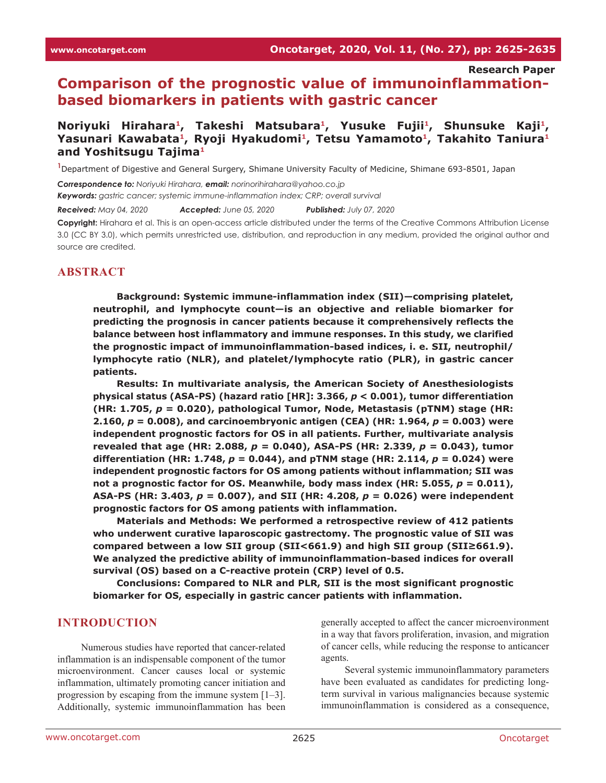**Research Paper**

**Comparison of the prognostic value of immunoinflammationbased biomarkers in patients with gastric cancer**

# **Noriyuki Hirahara1, Takeshi Matsubara1, Yusuke Fujii1, Shunsuke Kaji1,**  Yasunari Kawabata<sup>1</sup>, Ryoji Hyakudomi<sup>1</sup>, Tetsu Yamamoto<sup>1</sup>, Takahito Taniura<sup>1</sup> **and Yoshitsugu Tajima1**

**1** Department of Digestive and General Surgery, Shimane University Faculty of Medicine, Shimane 693-8501, Japan

*Correspondence to: Noriyuki Hirahara, email: norinorihirahara@yahoo.co.jp*

*Keywords: gastric cancer; systemic immune-inflammation index; CRP; overall survival*

*Received: May 04, 2020 Accepted: June 05, 2020 Published: July 07, 2020*

**Copyright:** Hirahara et al. This is an open-access article distributed under the terms of the Creative Commons Attribution License 3.0 (CC BY 3.0), which permits unrestricted use, distribution, and reproduction in any medium, provided the original author and source are credited.

### **ABSTRACT**

**Background: Systemic immune-inflammation index (SII)—comprising platelet, neutrophil, and lymphocyte count—is an objective and reliable biomarker for predicting the prognosis in cancer patients because it comprehensively reflects the balance between host inflammatory and immune responses. In this study, we clarified the prognostic impact of immunoinflammation-based indices, i. e. SII, neutrophil/ lymphocyte ratio (NLR), and platelet/lymphocyte ratio (PLR), in gastric cancer patients.**

**Results: In multivariate analysis, the American Society of Anesthesiologists physical status (ASA-PS) (hazard ratio [HR]: 3.366,** *p* **< 0.001), tumor differentiation (HR: 1.705,** *p* **= 0.020), pathological Tumor, Node, Metastasis (pTNM) stage (HR: 2.160,** *p* **= 0.008), and carcinoembryonic antigen (CEA) (HR: 1.964,** *p* **= 0.003) were independent prognostic factors for OS in all patients. Further, multivariate analysis revealed that age (HR: 2.088,** *p* **= 0.040), ASA-PS (HR: 2.339,** *p* **= 0.043), tumor differentiation (HR: 1.748,** *p* **= 0.044), and pTNM stage (HR: 2.114,** *p* **= 0.024) were independent prognostic factors for OS among patients without inflammation; SII was not a prognostic factor for OS. Meanwhile, body mass index (HR: 5.055,**  $p = 0.011$ **), ASA-PS (HR: 3.403,** *p* **= 0.007), and SII (HR: 4.208,** *p* **= 0.026) were independent prognostic factors for OS among patients with inflammation.**

**Materials and Methods: We performed a retrospective review of 412 patients who underwent curative laparoscopic gastrectomy. The prognostic value of SII was compared between a low SII group (SII<661.9) and high SII group (SII≥661.9). We analyzed the predictive ability of immunoinflammation-based indices for overall survival (OS) based on a C-reactive protein (CRP) level of 0.5.**

**Conclusions: Compared to NLR and PLR, SII is the most significant prognostic biomarker for OS, especially in gastric cancer patients with inflammation.**

### **INTRODUCTION**

Numerous studies have reported that cancer-related inflammation is an indispensable component of the tumor microenvironment. Cancer causes local or systemic inflammation, ultimately promoting cancer initiation and progression by escaping from the immune system [1–3]. Additionally, systemic immunoinflammation has been

generally accepted to affect the cancer microenvironment in a way that favors proliferation, invasion, and migration of cancer cells, while reducing the response to anticancer agents.

Several systemic immunoinflammatory parameters have been evaluated as candidates for predicting longterm survival in various malignancies because systemic immunoinflammation is considered as a consequence,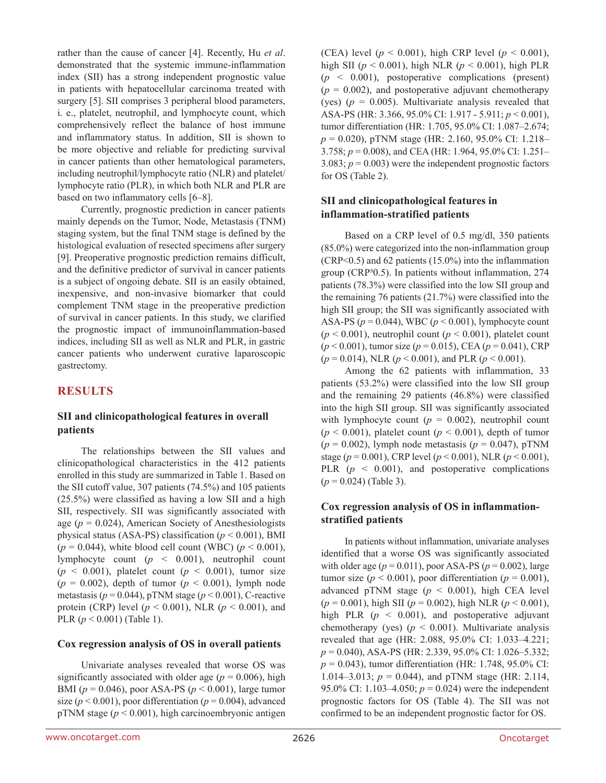rather than the cause of cancer [4]. Recently, Hu *et al*. demonstrated that the systemic immune-inflammation index (SII) has a strong independent prognostic value in patients with hepatocellular carcinoma treated with surgery [5]. SII comprises 3 peripheral blood parameters, i. e., platelet, neutrophil, and lymphocyte count, which comprehensively reflect the balance of host immune and inflammatory status. In addition, SII is shown to be more objective and reliable for predicting survival in cancer patients than other hematological parameters, including neutrophil/lymphocyte ratio (NLR) and platelet/ lymphocyte ratio (PLR), in which both NLR and PLR are based on two inflammatory cells [6–8].

Currently, prognostic prediction in cancer patients mainly depends on the Tumor, Node, Metastasis (TNM) staging system, but the final TNM stage is defined by the histological evaluation of resected specimens after surgery [9]. Preoperative prognostic prediction remains difficult, and the definitive predictor of survival in cancer patients is a subject of ongoing debate. SII is an easily obtained, inexpensive, and non-invasive biomarker that could complement TNM stage in the preoperative prediction of survival in cancer patients. In this study, we clarified the prognostic impact of immunoinflammation-based indices, including SII as well as NLR and PLR, in gastric cancer patients who underwent curative laparoscopic gastrectomy.

# **RESULTS**

### **SII and clinicopathological features in overall patients**

The relationships between the SII values and clinicopathological characteristics in the 412 patients enrolled in this study are summarized in Table 1. Based on the SII cutoff value, 307 patients (74.5%) and 105 patients (25.5%) were classified as having a low SII and a high SII, respectively. SII was significantly associated with age ( $p = 0.024$ ), American Society of Anesthesiologists physical status (ASA-PS) classification (*p* < 0.001), BMI  $(p = 0.044)$ , white blood cell count (WBC)  $(p < 0.001)$ , lymphocyte count (*p* < 0.001), neutrophil count  $(p \le 0.001)$ , platelet count  $(p \le 0.001)$ , tumor size  $(p = 0.002)$ , depth of tumor  $(p < 0.001)$ , lymph node metastasis ( $p = 0.044$ ), pTNM stage ( $p < 0.001$ ), C-reactive protein (CRP) level ( $p < 0.001$ ), NLR ( $p < 0.001$ ), and PLR (*p* < 0.001) (Table 1).

### **Cox regression analysis of OS in overall patients**

Univariate analyses revealed that worse OS was significantly associated with older age ( $p = 0.006$ ), high BMI (*p* = 0.046), poor ASA-PS (*p* < 0.001), large tumor size ( $p < 0.001$ ), poor differentiation ( $p = 0.004$ ), advanced pTNM stage  $(p < 0.001)$ , high carcinoembryonic antigen (CEA) level ( $p < 0.001$ ), high CRP level ( $p < 0.001$ ), high SII (*p* < 0.001), high NLR (*p* < 0.001), high PLR  $(p \leq 0.001)$ , postoperative complications (present)  $(p = 0.002)$ , and postoperative adjuvant chemotherapy (yes)  $(p = 0.005)$ . Multivariate analysis revealed that ASA-PS (HR: 3.366, 95.0% CI: 1.917 - 5.911; *p* < 0.001), tumor differentiation (HR: 1.705, 95.0% CI: 1.087–2.674; *p* = 0.020), pTNM stage (HR: 2.160, 95.0% CI: 1.218– 3.758; *p* = 0.008), and CEA (HR: 1.964, 95.0% CI: 1.251– 3.083;  $p = 0.003$ ) were the independent prognostic factors for OS (Table 2).

### **SII and clinicopathological features in inflammation-stratified patients**

Based on a CRP level of 0.5 mg/dl, 350 patients (85.0%) were categorized into the non-inflammation group (CRP<0.5) and 62 patients (15.0%) into the inflammation group (CRP<sup>3</sup>0.5). In patients without inflammation, 274 patients (78.3%) were classified into the low SII group and the remaining 76 patients (21.7%) were classified into the high SII group; the SII was significantly associated with ASA-PS (*p* = 0.044), WBC (*p* < 0.001), lymphocyte count  $(p < 0.001)$ , neutrophil count  $(p < 0.001)$ , platelet count (*p* < 0.001), tumor size (*p* = 0.015), CEA (*p* = 0.041), CRP (*p* = 0.014), NLR (*p* < 0.001), and PLR (*p* < 0.001).

Among the 62 patients with inflammation, 33 patients (53.2%) were classified into the low SII group and the remaining 29 patients (46.8%) were classified into the high SII group. SII was significantly associated with lymphocyte count  $(p = 0.002)$ , neutrophil count  $(p < 0.001)$ , platelet count  $(p < 0.001)$ , depth of tumor  $(p = 0.002)$ , lymph node metastasis  $(p = 0.047)$ , pTNM stage (*p* = 0.001), CRP level (*p* < 0.001), NLR (*p* < 0.001), PLR  $(p \leq 0.001)$ , and postoperative complications (*p* = 0.024) (Table 3).

### **Cox regression analysis of OS in inflammationstratified patients**

In patients without inflammation, univariate analyses identified that a worse OS was significantly associated with older age  $(p = 0.011)$ , poor ASA-PS  $(p = 0.002)$ , large tumor size ( $p < 0.001$ ), poor differentiation ( $p = 0.001$ ), advanced pTNM stage  $(p < 0.001)$ , high CEA level (*p* = 0.001), high SII (*p* = 0.002), high NLR (*p* < 0.001), high PLR  $(p < 0.001)$ , and postoperative adjuvant chemotherapy (yes)  $(p < 0.001)$ . Multivariate analysis revealed that age (HR: 2.088, 95.0% CI: 1.033–4.221; *p* = 0.040), ASA-PS (HR: 2.339, 95.0% CI: 1.026–5.332; *p* = 0.043), tumor differentiation (HR: 1.748, 95.0% CI: 1.014–3.013;  $p = 0.044$ ), and pTNM stage (HR: 2.114, 95.0% CI: 1.103–4.050;  $p = 0.024$ ) were the independent prognostic factors for OS (Table 4). The SII was not confirmed to be an independent prognostic factor for OS.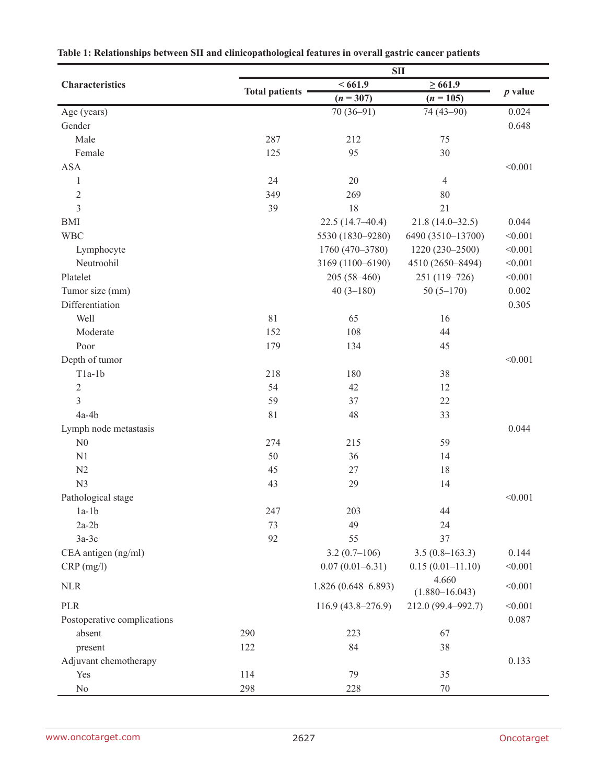|                             | <b>SII</b>            |                        |                             |           |  |  |  |  |  |  |  |
|-----------------------------|-----------------------|------------------------|-----------------------------|-----------|--|--|--|--|--|--|--|
| Characteristics             |                       | <661.9                 | $\geq 661.9$                |           |  |  |  |  |  |  |  |
|                             | <b>Total patients</b> | $(n = 307)$            | $(n = 105)$                 | $p$ value |  |  |  |  |  |  |  |
| Age (years)                 |                       | $70(36-91)$            | 74 (43-90)                  | 0.024     |  |  |  |  |  |  |  |
| Gender                      |                       |                        |                             | 0.648     |  |  |  |  |  |  |  |
| Male                        | 287                   | 212                    | 75                          |           |  |  |  |  |  |  |  |
| Female                      | 125                   | 95                     | 30                          |           |  |  |  |  |  |  |  |
| <b>ASA</b>                  |                       |                        |                             | < 0.001   |  |  |  |  |  |  |  |
| $\mathbf{1}$                | 24                    | 20                     | $\overline{4}$              |           |  |  |  |  |  |  |  |
| $\sqrt{2}$                  | 349                   | 269                    | 80                          |           |  |  |  |  |  |  |  |
| 3                           | 39                    | 18                     | 21                          |           |  |  |  |  |  |  |  |
| <b>BMI</b>                  |                       | $22.5(14.7-40.4)$      | $21.8(14.0-32.5)$           | 0.044     |  |  |  |  |  |  |  |
| <b>WBC</b>                  |                       | 5530 (1830-9280)       | 6490 (3510-13700)           | < 0.001   |  |  |  |  |  |  |  |
| Lymphocyte                  |                       | 1760 (470-3780)        | 1220 (230-2500)             | < 0.001   |  |  |  |  |  |  |  |
| Neutroohil                  |                       | 3169 (1100-6190)       | 4510 (2650-8494)            | < 0.001   |  |  |  |  |  |  |  |
| Platelet                    |                       | $205(58-460)$          | 251 (119-726)               | < 0.001   |  |  |  |  |  |  |  |
| Tumor size (mm)             |                       | $40(3-180)$            | $50(5-170)$                 | 0.002     |  |  |  |  |  |  |  |
| Differentiation             |                       |                        |                             | 0.305     |  |  |  |  |  |  |  |
| Well                        | 81                    | 65                     | 16                          |           |  |  |  |  |  |  |  |
| Moderate                    | 152                   | 108                    | 44                          |           |  |  |  |  |  |  |  |
| Poor                        | 179                   | 134                    | 45                          |           |  |  |  |  |  |  |  |
| Depth of tumor              |                       |                        |                             | < 0.001   |  |  |  |  |  |  |  |
| $T1a-1b$                    | 218                   | 180                    | 38                          |           |  |  |  |  |  |  |  |
| $\sqrt{2}$                  | 54                    | 42                     | 12                          |           |  |  |  |  |  |  |  |
| 3                           | 59                    | 37                     | 22                          |           |  |  |  |  |  |  |  |
| $4a-4b$                     | 81                    | 48                     | 33                          |           |  |  |  |  |  |  |  |
| Lymph node metastasis       |                       |                        |                             | 0.044     |  |  |  |  |  |  |  |
| N <sub>0</sub>              | 274                   | 215                    | 59                          |           |  |  |  |  |  |  |  |
| N1                          | 50                    | 36                     | 14                          |           |  |  |  |  |  |  |  |
| N2                          | 45                    | 27                     | 18                          |           |  |  |  |  |  |  |  |
| N <sub>3</sub>              | 43                    | 29                     | 14                          |           |  |  |  |  |  |  |  |
| Pathological stage          |                       |                        |                             | < 0.001   |  |  |  |  |  |  |  |
| $1a-1b$                     | 247                   | 203                    | 44                          |           |  |  |  |  |  |  |  |
| $2a-2b$                     | 73                    | 49                     | 24                          |           |  |  |  |  |  |  |  |
|                             | 92                    | 55                     | 37                          |           |  |  |  |  |  |  |  |
| $3a-3c$                     |                       |                        |                             |           |  |  |  |  |  |  |  |
| CEA antigen (ng/ml)         |                       | $3.2(0.7-106)$         | $3.5(0.8-163.3)$            | 0.144     |  |  |  |  |  |  |  |
| $CRP$ (mg/l)                |                       | $0.07(0.01 - 6.31)$    | $0.15(0.01 - 11.10)$        | < 0.001   |  |  |  |  |  |  |  |
| <b>NLR</b>                  |                       | $1.826(0.648 - 6.893)$ | 4.660<br>$(1.880 - 16.043)$ | < 0.001   |  |  |  |  |  |  |  |
| <b>PLR</b>                  |                       | $116.9(43.8-276.9)$    | 212.0 (99.4-992.7)          | < 0.001   |  |  |  |  |  |  |  |
| Postoperative complications |                       |                        |                             | 0.087     |  |  |  |  |  |  |  |
| absent                      | 290                   | 223                    | 67                          |           |  |  |  |  |  |  |  |
| present                     | 122                   | 84                     | 38                          |           |  |  |  |  |  |  |  |
| Adjuvant chemotherapy       |                       |                        |                             | 0.133     |  |  |  |  |  |  |  |
| Yes                         | 114                   | 79                     | 35                          |           |  |  |  |  |  |  |  |
| $\rm No$                    | 298                   | 228                    | $70\,$                      |           |  |  |  |  |  |  |  |

| Table 1: Relationships between SII and clinicopathological features in overall gastric cancer patients |  |  |
|--------------------------------------------------------------------------------------------------------|--|--|
|                                                                                                        |  |  |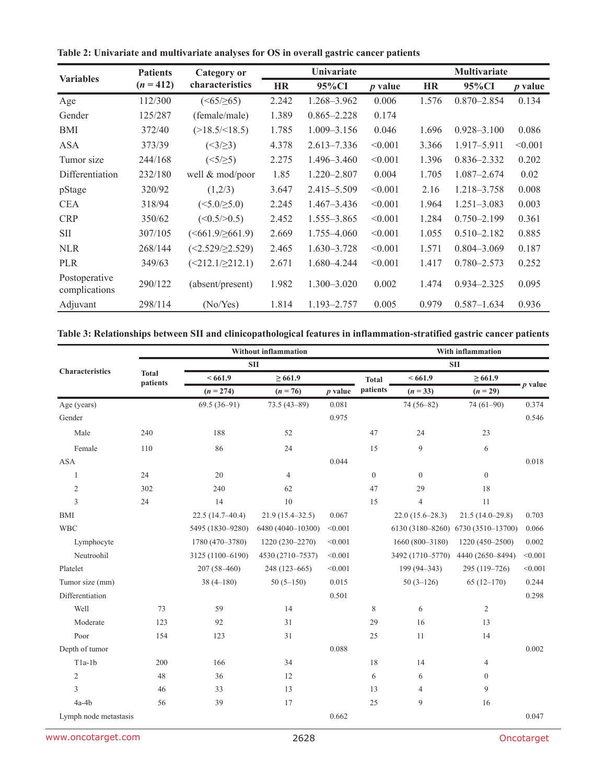| Table 2: Univariate and multivariate analyses for OS in overall gastric cancer patients |  |  |
|-----------------------------------------------------------------------------------------|--|--|
|-----------------------------------------------------------------------------------------|--|--|

| <b>Variables</b>               | <b>Patients</b> | Category or               |           | <b>Univariate</b> |           |           | <b>Multivariate</b> |                |  |  |
|--------------------------------|-----------------|---------------------------|-----------|-------------------|-----------|-----------|---------------------|----------------|--|--|
|                                | $(n = 412)$     | characteristics           | <b>HR</b> | 95%CI             | $p$ value | <b>HR</b> | 95%CI               | <i>p</i> value |  |  |
| Age                            | 112/300         | $(<65/\geq 65)$           | 2.242     | 1.268-3.962       | 0.006     | 1.576     | $0.870 - 2.854$     | 0.134          |  |  |
| Gender                         | 125/287         | (female/male)             | 1.389     | $0.865 - 2.228$   | 0.174     |           |                     |                |  |  |
| <b>BMI</b>                     | 372/40          | $(>18.5/\leq 18.5)$       | 1.785     | $1.009 - 3.156$   | 0.046     | 1.696     | $0.928 - 3.100$     | 0.086          |  |  |
| <b>ASA</b>                     | 373/39          | $(\leq3/\geq3)$           | 4.378     | $2.613 - 7.336$   | < 0.001   | 3.366     | 1.917-5.911         | < 0.001        |  |  |
| Tumor size                     | 244/168         | $(\leq 5/\geq 5)$         | 2.275     | 1.496-3.460       | < 0.001   | 1.396     | $0.836 - 2.332$     | 0.202          |  |  |
| Differentiation                | 232/180         | well & mod/poor           | 1.85      | $1.220 - 2.807$   | 0.004     | 1.705     | $1.087 - 2.674$     | 0.02           |  |  |
| pStage                         | 320/92          | (1,2/3)                   | 3.647     | 2.415-5.509       | < 0.001   | 2.16      | 1.218-3.758         | 0.008          |  |  |
| <b>CEA</b>                     | 318/94          | $(\leq 5.0/\geq 5.0)$     | 2.245     | $1.467 - 3.436$   | < 0.001   | 1.964     | $1.251 - 3.083$     | 0.003          |  |  |
| <b>CRP</b>                     | 350/62          | (<0.5/>0.5)               | 2.452     | 1.555-3.865       | < 0.001   | 1.284     | $0.750 - 2.199$     | 0.361          |  |  |
| <b>SII</b>                     | 307/105         | $(\leq 661.9/\geq 661.9)$ | 2.669     | 1.755-4.060       | < 0.001   | 1.055     | $0.510 - 2.182$     | 0.885          |  |  |
| <b>NLR</b>                     | 268/144         | $(\leq 2.529/\geq 2.529)$ | 2.465     | $1.630 - 3.728$   | < 0.001   | 1.571     | $0.804 - 3.069$     | 0.187          |  |  |
| <b>PLR</b>                     | 349/63          | $(\leq 212.1/\geq 212.1)$ | 2.671     | 1.680-4.244       | < 0.001   | 1.417     | $0.780 - 2.573$     | 0.252          |  |  |
| Postoperative<br>complications | 290/122         | (absent/present)          | 1.982     | $1.300 - 3.020$   | 0.002     | 1.474     | $0.934 - 2.325$     | 0.095          |  |  |
| Adjuvant                       | 298/114         | (No/Yes)                  | 1.814     | 1.193-2.757       | 0.005     | 0.979     | $0.587 - 1.634$     | 0.936          |  |  |

# **Table 3: Relationships between SII and clinicopathological features in inflammation-stratified gastric cancer patients**

|                       |                          |                   | <b>Without inflammation</b> | With inflammation |                  |                   |                   |           |  |  |  |
|-----------------------|--------------------------|-------------------|-----------------------------|-------------------|------------------|-------------------|-------------------|-----------|--|--|--|
|                       |                          |                   | <b>SII</b>                  | <b>SII</b>        |                  |                   |                   |           |  |  |  |
| Characteristics       | <b>Total</b><br>patients | <661.9            | $\geq 661.9$                |                   | <b>Total</b>     | <661.9            | $\geq 661.9$      |           |  |  |  |
|                       |                          | $(n = 274)$       | $(n = 76)$                  | $p$ value         | patients         | $(n = 33)$        | $(n = 29)$        | $p$ value |  |  |  |
| Age (years)           |                          | $69.5(36-91)$     | $73.5(43 - 89)$             | 0.081             |                  | 74 (56-82)        | 74 (61-90)        | 0.374     |  |  |  |
| Gender                |                          |                   |                             | 0.975             |                  |                   |                   | 0.546     |  |  |  |
| Male                  | 240                      | 188               | 52                          |                   | 47               | 24                | 23                |           |  |  |  |
| Female                | 110                      | 86                | 24                          |                   | 15               | $\boldsymbol{9}$  | 6                 |           |  |  |  |
| <b>ASA</b>            |                          |                   |                             | 0.044             |                  |                   |                   | 0.018     |  |  |  |
| 1                     | 24                       | 20                | $\overline{4}$              |                   | $\boldsymbol{0}$ | $\mathbf{0}$      | $\overline{0}$    |           |  |  |  |
| 2                     | 302                      | 240               | 62                          |                   | 47               | 29                | 18                |           |  |  |  |
| 3                     | 24                       | 14                | 10                          |                   | 15               | $\overline{4}$    | 11                |           |  |  |  |
| <b>BMI</b>            |                          | $22.5(14.7-40.4)$ | $21.9(15.4 - 32.5)$         | 0.067             |                  | $22.0(15.6-28.3)$ | $21.5(14.0-29.8)$ | 0.703     |  |  |  |
| <b>WBC</b>            |                          | 5495 (1830-9280)  | 6480 (4040-10300)           | < 0.001           |                  | 6130 (3180-8260)  | 6730 (3510-13700) | 0.066     |  |  |  |
| Lymphocyte            |                          | 1780 (470-3780)   | $1220(230-2270)$            | < 0.001           |                  | $1660(800-3180)$  | $1220(450-2500)$  | 0.002     |  |  |  |
| Neutroohil            |                          | 3125 (1100-6190)  | 4530 (2710-7537)            | < 0.001           |                  | 3492 (1710-5770)  | 4440 (2650-8494)  | < 0.001   |  |  |  |
| Platelet              |                          | $207(58 - 460)$   | 248 (123-665)               | < 0.001           |                  | $199(94 - 343)$   | 295 (119-726)     | < 0.001   |  |  |  |
| Tumor size (mm)       |                          | $38(4 - 180)$     | $50(5-150)$                 | 0.015             |                  | $50(3-126)$       | $65(12-170)$      | 0.244     |  |  |  |
| Differentiation       |                          |                   |                             | 0.501             |                  |                   |                   | 0.298     |  |  |  |
| Well                  | 73                       | 59                | 14                          |                   | $\,$ 8 $\,$      | 6                 | $\sqrt{2}$        |           |  |  |  |
| Moderate              | 123                      | 92                | 31                          |                   | 29               | 16                | 13                |           |  |  |  |
| Poor                  | 154                      | 123               | 31                          |                   | 25               | 11                | 14                |           |  |  |  |
| Depth of tumor        |                          |                   |                             | 0.088             |                  |                   |                   | 0.002     |  |  |  |
| $T1a-1b$              | 200                      | 166               | 34                          |                   | 18               | 14                | $\overline{4}$    |           |  |  |  |
| $\mathfrak{2}$        | 48                       | 36                | 12                          |                   | 6                | 6                 | $\mathbf{0}$      |           |  |  |  |
| 3                     | 46                       | 33                | 13                          |                   | 13               | 4                 | 9                 |           |  |  |  |
| $4a-4b$               | 56                       | 39                | 17                          |                   | 25               | 9                 | 16                |           |  |  |  |
| Lymph node metastasis |                          |                   |                             | 0.662             |                  |                   |                   | 0.047     |  |  |  |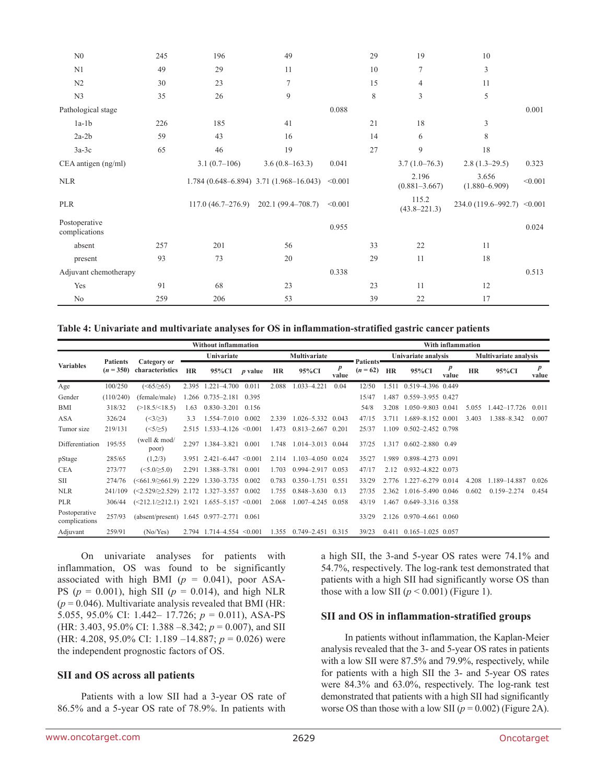| N <sub>0</sub>                 | 245 | 196                 | 49                                             |         | 29 | 19                         | 10                          |         |
|--------------------------------|-----|---------------------|------------------------------------------------|---------|----|----------------------------|-----------------------------|---------|
| N1                             | 49  | 29                  | 11                                             |         | 10 | 7                          | 3                           |         |
| N <sub>2</sub>                 | 30  | 23                  | 7                                              |         | 15 | $\overline{4}$             | 11                          |         |
| N <sub>3</sub>                 | 35  | 26                  | 9                                              |         | 8  | 3                          | 5                           |         |
| Pathological stage             |     |                     |                                                | 0.088   |    |                            |                             | 0.001   |
| $1a-1b$                        | 226 | 185                 | 41                                             |         | 21 | 18                         | 3                           |         |
| $2a-2b$                        | 59  | 43                  | 16                                             |         | 14 | 6                          | 8                           |         |
| $3a-3c$                        | 65  | 46                  | 19                                             |         | 27 | 9                          | 18                          |         |
| CEA antigen (ng/ml)            |     | $3.1(0.7-106)$      | $3.6(0.8-163.3)$                               | 0.041   |    | $3.7(1.0-76.3)$            | $2.8(1.3-29.5)$             | 0.323   |
| <b>NLR</b>                     |     |                     | $1.784(0.648 - 6.894)$ 3.71 $(1.968 - 16.043)$ | < 0.001 |    | 2.196<br>$(0.881 - 3.667)$ | 3.656<br>$(1.880 - 6.909)$  | < 0.001 |
| <b>PLR</b>                     |     | $117.0(46.7-276.9)$ | 202.1 (99.4-708.7)                             | < 0.001 |    | 115.2<br>$(43.8 - 221.3)$  | 234.0 (119.6–992.7) < 0.001 |         |
| Postoperative<br>complications |     |                     |                                                | 0.955   |    |                            |                             | 0.024   |
| absent                         | 257 | 201                 | 56                                             |         | 33 | 22                         | 11                          |         |
| present                        | 93  | 73                  | 20                                             |         | 29 | 11                         | 18                          |         |
| Adjuvant chemotherapy          |     |                     |                                                | 0.338   |    |                            |                             | 0.513   |
| Yes                            | 91  | 68                  | 23                                             |         | 23 | 11                         | 12                          |         |
| N <sub>o</sub>                 | 259 | 206                 | 53                                             |         | 39 | 22                         | 17                          |         |

**Table 4: Univariate and multivariate analyses for OS in inflammation-stratified gastric cancer patients**

|                                | <b>Without inflammation</b>    |                                                          |            |                           |                |           |                         |                           |                         |           |                                 | With inflammation            |           |                 |                           |
|--------------------------------|--------------------------------|----------------------------------------------------------|------------|---------------------------|----------------|-----------|-------------------------|---------------------------|-------------------------|-----------|---------------------------------|------------------------------|-----------|-----------------|---------------------------|
|                                |                                |                                                          | Univariate |                           | Multivariate   |           |                         |                           | Univariate analysis     |           |                                 | <b>Multivariate analysis</b> |           |                 |                           |
| <b>Variables</b>               | <b>Patients</b><br>$(n = 350)$ | Category or<br>characteristics                           | <b>HR</b>  | 95%CI                     | <i>p</i> value | <b>HR</b> | 95%CI                   | $\boldsymbol{p}$<br>value | Patients'<br>$(n = 62)$ | <b>HR</b> | 95%CI                           | $\boldsymbol{p}$<br>value    | <b>HR</b> | 95%CI           | $\boldsymbol{p}$<br>value |
| Age                            | 100/250                        | $(\le65/\ge65)$                                          | 2.395      | $1.221 - 4.700$           | 0.011          | 2.088     | 1.033-4.221             | 0.04                      | 12/50                   | 1.511     | 0.519-4.396 0.449               |                              |           |                 |                           |
| Gender                         | (110/240)                      | (female/male)                                            |            | 1.266 0.735-2.181         | 0.395          |           |                         |                           | 15/47                   | 1.487     | 0.559-3.955 0.427               |                              |           |                 |                           |
| <b>BMI</b>                     | 318/32                         | $(>18.5/\leq 18.5)$                                      | 1.63       | $0.830 - 3.201$           | 0.156          |           |                         |                           | 54/8                    | 3.208     | 1.050-9.803 0.041               |                              | 5.055     | 1.442-17.726    | 0.011                     |
| ASA                            | 326/24                         | $(\leq3/\geq3)$                                          | 3.3        | 1.554-7.010               | 0.002          | 2.339     | $1.026 - 5.332$         | 0.043                     | 47/15                   | 3 7 1 1   | 1.689-8.152 0.001               |                              | 3.403     | 1.388-8.342     | 0.007                     |
| Tumor size                     | 219/131                        | $(\leq 5/\geq 5)$                                        | 2.515      | $1.533 - 4.126 \le 0.001$ |                | 1.473     | $0.813 - 2.667$ $0.201$ |                           | 25/37                   | 1.109     | $0.502 - 2.452$ 0.798           |                              |           |                 |                           |
| Differentiation                | 195/55                         | (well $& \text{mod}/$<br>poor)                           | 2.297      | 1.384-3.821               | 0.001          | 1.748     | $1.014 - 3.013$ 0.044   |                           | 37/25                   | 1.317     | $0.602 - 2.880$ 0.49            |                              |           |                 |                           |
| pStage                         | 285/65                         | (1,2/3)                                                  | 3.951      | $2.421 - 6.447$           | < 0.001        | 2.114     | $1.103 - 4.050$ 0.024   |                           | 35/27                   | 1.989     | 0.898-4.273 0.091               |                              |           |                 |                           |
| <b>CEA</b>                     | 273/77                         | $(\leq 5.0/\geq 5.0)$                                    | 2.291      | 1.388-3.781               | 0.001          | 1.703     | 0.994-2.917             | 0.053                     | 47/17                   | 2.12      | 0.932-4.822 0.073               |                              |           |                 |                           |
| <b>SII</b>                     | 274/76                         | $(\leq 661.9/\geq 661.9)$                                | 2.229      | 1.330-3.735               | 0.002          | 0.783     | $0.350 - 1.751$         | 0.551                     | 33/29                   | 2.776     | 1.227-6.279 0.014               |                              | 4.208     | 1.189-14.887    | 0.026                     |
| <b>NLR</b>                     | 241/109                        | $(\leq 2.529 \geq 2.529)$ 2.172                          |            | 1.327-3.557               | 0.002          | 1.755     | $0.848 - 3.630$         | 0.13                      | 27/35                   | 2.362     | 1.016-5.490 0.046               |                              | 0.602     | $0.159 - 2.274$ | 0.454                     |
| <b>PLR</b>                     | 306/44                         | $(\leq 212.1/\geq 212.1)$ 2.921 1.655-5.157 $\leq 0.001$ |            |                           |                | 2.068     | 1.007-4.245 0.058       |                           | 43/19                   | 1.467     | $0.649 - 3.316$ 0.358           |                              |           |                 |                           |
| Postoperative<br>complications | 257/93                         | (absent/present) 1.645 0.977-2.771                       |            |                           | 0.061          |           |                         |                           | 33/29                   |           | 2.126 0.970-4.661 0.060         |                              |           |                 |                           |
| Adjuvant                       | 259/91                         | (No/Yes)                                                 | 2.794      | $1.714 - 4.554 \le 0.001$ |                | 1.355     | $0.749 - 2.451$ $0.315$ |                           | 39/23                   |           | $0.411$ $0.165 - 1.025$ $0.057$ |                              |           |                 |                           |

On univariate analyses for patients with inflammation, OS was found to be significantly associated with high BMI ( $p = 0.041$ ), poor ASA-PS ( $p = 0.001$ ), high SII ( $p = 0.014$ ), and high NLR  $(p = 0.046)$ . Multivariate analysis revealed that BMI (HR: 5.055, 95.0% CI: 1.442– 17.726; *p* = 0.011), ASA-PS (HR: 3.403, 95.0% CI: 1.388 –8.342; *p* = 0.007), and SII (HR: 4.208, 95.0% CI: 1.189 –14.887; *p* = 0.026) were the independent prognostic factors of OS.

#### **SII and OS across all patients**

Patients with a low SII had a 3-year OS rate of 86.5% and a 5-year OS rate of 78.9%. In patients with

a high SII, the 3-and 5-year OS rates were 74.1% and 54.7%, respectively. The log-rank test demonstrated that patients with a high SII had significantly worse OS than those with a low SII  $(p < 0.001)$  (Figure 1).

#### **SII and OS in inflammation-stratified groups**

In patients without inflammation, the Kaplan-Meier analysis revealed that the 3- and 5-year OS rates in patients with a low SII were 87.5% and 79.9%, respectively, while for patients with a high SII the 3- and 5-year OS rates were 84.3% and 63.0%, respectively. The log-rank test demonstrated that patients with a high SII had significantly worse OS than those with a low SII ( $p = 0.002$ ) (Figure 2A).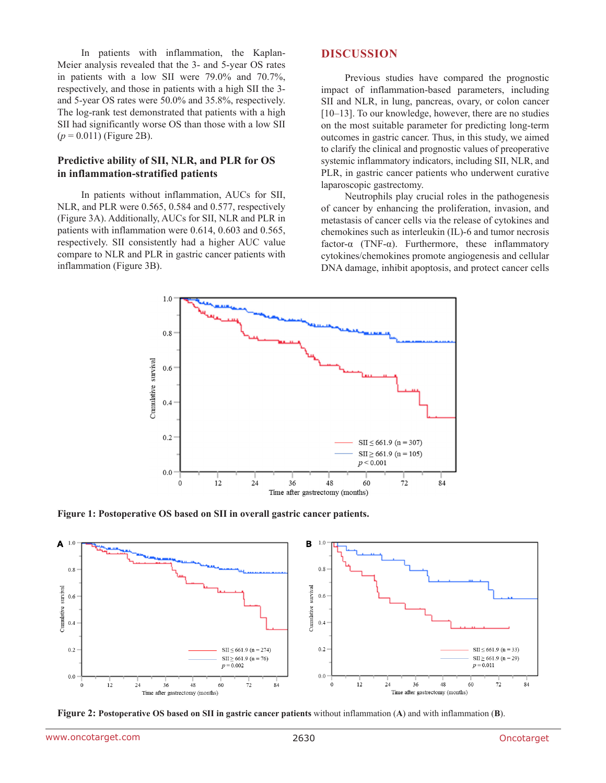In patients with inflammation, the Kaplan-Meier analysis revealed that the 3- and 5-year OS rates in patients with a low SII were 79.0% and 70.7%, respectively, and those in patients with a high SII the 3 and 5-year OS rates were 50.0% and 35.8%, respectively. The log-rank test demonstrated that patients with a high SII had significantly worse OS than those with a low SII  $(p = 0.011)$  (Figure 2B).

#### **Predictive ability of SII, NLR, and PLR for OS in inflammation-stratified patients**

In patients without inflammation, AUCs for SII, NLR, and PLR were 0.565, 0.584 and 0.577, respectively (Figure 3A). Additionally, AUCs for SII, NLR and PLR in patients with inflammation were 0.614, 0.603 and 0.565, respectively. SII consistently had a higher AUC value compare to NLR and PLR in gastric cancer patients with inflammation (Figure 3B).

#### **DISCUSSION**

Previous studies have compared the prognostic impact of inflammation-based parameters, including SII and NLR, in lung, pancreas, ovary, or colon cancer [10–13]. To our knowledge, however, there are no studies on the most suitable parameter for predicting long-term outcomes in gastric cancer. Thus, in this study, we aimed to clarify the clinical and prognostic values of preoperative systemic inflammatory indicators, including SII, NLR, and PLR, in gastric cancer patients who underwent curative laparoscopic gastrectomy.

Neutrophils play crucial roles in the pathogenesis of cancer by enhancing the proliferation, invasion, and metastasis of cancer cells via the release of cytokines and chemokines such as interleukin (IL)-6 and tumor necrosis factor-α (TNF-α). Furthermore, these inflammatory cytokines/chemokines promote angiogenesis and cellular DNA damage, inhibit apoptosis, and protect cancer cells



**Figure 1: Postoperative OS based on SII in overall gastric cancer patients.**



**Figure 2: Postoperative OS based on SII in gastric cancer patients** without inflammation (**A**) and with inflammation (**B**).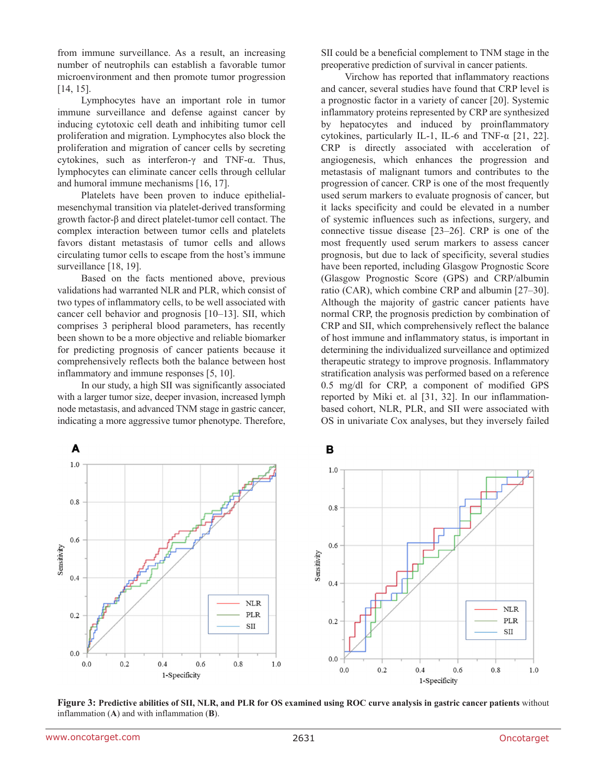from immune surveillance. As a result, an increasing number of neutrophils can establish a favorable tumor microenvironment and then promote tumor progression [14, 15].

Lymphocytes have an important role in tumor immune surveillance and defense against cancer by inducing cytotoxic cell death and inhibiting tumor cell proliferation and migration. Lymphocytes also block the proliferation and migration of cancer cells by secreting cytokines, such as interferon-γ and TNF-α. Thus, lymphocytes can eliminate cancer cells through cellular and humoral immune mechanisms [16, 17].

Platelets have been proven to induce epithelialmesenchymal transition via platelet-derived transforming growth factor-β and direct platelet-tumor cell contact. The complex interaction between tumor cells and platelets favors distant metastasis of tumor cells and allows circulating tumor cells to escape from the host's immune surveillance [18, 19].

Based on the facts mentioned above, previous validations had warranted NLR and PLR, which consist of two types of inflammatory cells, to be well associated with cancer cell behavior and prognosis [10–13]. SII, which comprises 3 peripheral blood parameters, has recently been shown to be a more objective and reliable biomarker for predicting prognosis of cancer patients because it comprehensively reflects both the balance between host inflammatory and immune responses [5, 10].

In our study, a high SII was significantly associated with a larger tumor size, deeper invasion, increased lymph node metastasis, and advanced TNM stage in gastric cancer, indicating a more aggressive tumor phenotype. Therefore, SII could be a beneficial complement to TNM stage in the preoperative prediction of survival in cancer patients.

Virchow has reported that inflammatory reactions and cancer, several studies have found that CRP level is a prognostic factor in a variety of cancer [20]. Systemic inflammatory proteins represented by CRP are synthesized by hepatocytes and induced by proinflammatory cytokines, particularly IL-1, IL-6 and TNF-α [21, 22]. CRP is directly associated with acceleration of angiogenesis, which enhances the progression and metastasis of malignant tumors and contributes to the progression of cancer. CRP is one of the most frequently used serum markers to evaluate prognosis of cancer, but it lacks specificity and could be elevated in a number of systemic influences such as infections, surgery, and connective tissue disease [23–26]. CRP is one of the most frequently used serum markers to assess cancer prognosis, but due to lack of specificity, several studies have been reported, including Glasgow Prognostic Score (Glasgow Prognostic Score (GPS) and CRP/albumin ratio (CAR), which combine CRP and albumin [27–30]. Although the majority of gastric cancer patients have normal CRP, the prognosis prediction by combination of CRP and SII, which comprehensively reflect the balance of host immune and inflammatory status, is important in determining the individualized surveillance and optimized therapeutic strategy to improve prognosis. Inflammatory stratification analysis was performed based on a reference 0.5 mg/dl for CRP, a component of modified GPS reported by Miki et. al [31, 32]. In our inflammationbased cohort, NLR, PLR, and SII were associated with OS in univariate Cox analyses, but they inversely failed



**Figure 3: Predictive abilities of SII, NLR, and PLR for OS examined using ROC curve analysis in gastric cancer patients** without inflammation (**A**) and with inflammation (**B**).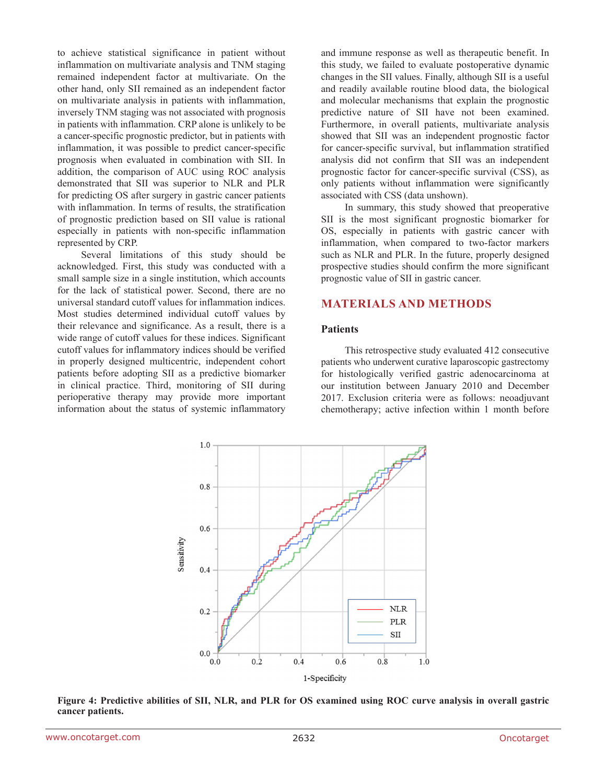to achieve statistical significance in patient without inflammation on multivariate analysis and TNM staging remained independent factor at multivariate. On the other hand, only SII remained as an independent factor on multivariate analysis in patients with inflammation, inversely TNM staging was not associated with prognosis in patients with inflammation. CRP alone is unlikely to be a cancer-specific prognostic predictor, but in patients with inflammation, it was possible to predict cancer-specific prognosis when evaluated in combination with SII. In addition, the comparison of AUC using ROC analysis demonstrated that SII was superior to NLR and PLR for predicting OS after surgery in gastric cancer patients with inflammation. In terms of results, the stratification of prognostic prediction based on SII value is rational especially in patients with non-specific inflammation represented by CRP.

Several limitations of this study should be acknowledged. First, this study was conducted with a small sample size in a single institution, which accounts for the lack of statistical power. Second, there are no universal standard cutoff values for inflammation indices. Most studies determined individual cutoff values by their relevance and significance. As a result, there is a wide range of cutoff values for these indices. Significant cutoff values for inflammatory indices should be verified in properly designed multicentric, independent cohort patients before adopting SII as a predictive biomarker in clinical practice. Third, monitoring of SII during perioperative therapy may provide more important information about the status of systemic inflammatory and immune response as well as therapeutic benefit. In this study, we failed to evaluate postoperative dynamic changes in the SII values. Finally, although SII is a useful and readily available routine blood data, the biological and molecular mechanisms that explain the prognostic predictive nature of SII have not been examined. Furthermore, in overall patients, multivariate analysis showed that SII was an independent prognostic factor for cancer-specific survival, but inflammation stratified analysis did not confirm that SII was an independent prognostic factor for cancer-specific survival (CSS), as only patients without inflammation were significantly associated with CSS (data unshown).

In summary, this study showed that preoperative SII is the most significant prognostic biomarker for OS, especially in patients with gastric cancer with inflammation, when compared to two-factor markers such as NLR and PLR. In the future, properly designed prospective studies should confirm the more significant prognostic value of SII in gastric cancer.

### **MATERIALS AND METHODS**

#### **Patients**

This retrospective study evaluated 412 consecutive patients who underwent curative laparoscopic gastrectomy for histologically verified gastric adenocarcinoma at our institution between January 2010 and December 2017. Exclusion criteria were as follows: neoadjuvant chemotherapy; active infection within 1 month before



**Figure 4: Predictive abilities of SII, NLR, and PLR for OS examined using ROC curve analysis in overall gastric cancer patients.**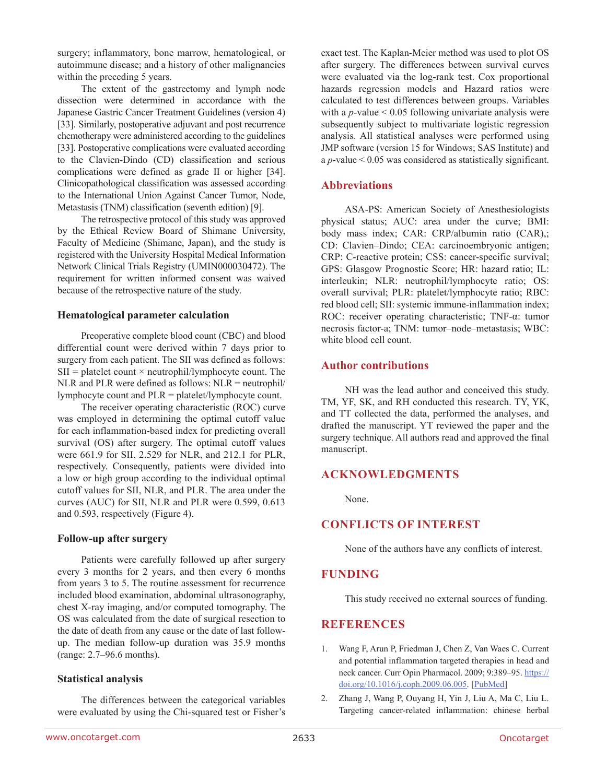surgery; inflammatory, bone marrow, hematological, or autoimmune disease; and a history of other malignancies within the preceding 5 years.

The extent of the gastrectomy and lymph node dissection were determined in accordance with the Japanese Gastric Cancer Treatment Guidelines (version 4) [33]. Similarly, postoperative adjuvant and post recurrence chemotherapy were administered according to the guidelines [33]. Postoperative complications were evaluated according to the Clavien-Dindo (CD) classification and serious complications were defined as grade II or higher [34]. Clinicopathological classification was assessed according to the International Union Against Cancer Tumor, Node, Metastasis (TNM) classification (seventh edition) [9].

The retrospective protocol of this study was approved by the Ethical Review Board of Shimane University, Faculty of Medicine (Shimane, Japan), and the study is registered with the University Hospital Medical Information Network Clinical Trials Registry (UMIN000030472). The requirement for written informed consent was waived because of the retrospective nature of the study.

#### **Hematological parameter calculation**

Preoperative complete blood count (CBC) and blood differential count were derived within 7 days prior to surgery from each patient. The SII was defined as follows:  $SII = platelet count \times neutrophil/lymphocyte count. The$ NLR and PLR were defined as follows: NLR = neutrophil/ lymphocyte count and PLR = platelet/lymphocyte count.

The receiver operating characteristic (ROC) curve was employed in determining the optimal cutoff value for each inflammation-based index for predicting overall survival (OS) after surgery. The optimal cutoff values were 661.9 for SII, 2.529 for NLR, and 212.1 for PLR, respectively. Consequently, patients were divided into a low or high group according to the individual optimal cutoff values for SII, NLR, and PLR. The area under the curves (AUC) for SII, NLR and PLR were 0.599, 0.613 and 0.593, respectively (Figure 4).

#### **Follow-up after surgery**

Patients were carefully followed up after surgery every 3 months for 2 years, and then every 6 months from years 3 to 5. The routine assessment for recurrence included blood examination, abdominal ultrasonography, chest X-ray imaging, and/or computed tomography. The OS was calculated from the date of surgical resection to the date of death from any cause or the date of last followup. The median follow-up duration was 35.9 months (range: 2.7–96.6 months).

### **Statistical analysis**

The differences between the categorical variables were evaluated by using the Chi-squared test or Fisher's exact test. The Kaplan-Meier method was used to plot OS after surgery. The differences between survival curves were evaluated via the log-rank test. Cox proportional hazards regression models and Hazard ratios were calculated to test differences between groups. Variables with a  $p$ -value  $\leq 0.05$  following univariate analysis were subsequently subject to multivariate logistic regression analysis. All statistical analyses were performed using JMP software (version 15 for Windows; SAS Institute) and a *p*-value < 0.05 was considered as statistically significant.

### **Abbreviations**

ASA-PS: American Society of Anesthesiologists physical status; AUC: area under the curve; BMI: body mass index; CAR: CRP/albumin ratio (CAR),; CD: Clavien–Dindo; CEA: carcinoembryonic antigen; CRP: C-reactive protein; CSS: cancer-specific survival; GPS: Glasgow Prognostic Score; HR: hazard ratio; IL: interleukin; NLR: neutrophil/lymphocyte ratio; OS: overall survival; PLR: platelet/lymphocyte ratio; RBC: red blood cell; SII: systemic immune-inflammation index; ROC: receiver operating characteristic; TNF-α: tumor necrosis factor-a; TNM: tumor–node–metastasis; WBC: white blood cell count.

### **Author contributions**

NH was the lead author and conceived this study. TM, YF, SK, and RH conducted this research. TY, YK, and TT collected the data, performed the analyses, and drafted the manuscript. YT reviewed the paper and the surgery technique. All authors read and approved the final manuscript.

### **ACKNOWLEDGMENTS**

None.

# **CONFLICTS OF INTEREST**

None of the authors have any conflicts of interest.

### **FUNDING**

This study received no external sources of funding.

### **REFERENCES**

- 1. Wang F, Arun P, Friedman J, Chen Z, Van Waes C. Current and potential inflammation targeted therapies in head and neck cancer. Curr Opin Pharmacol. 2009; 9:389-95. [https://](https://doi.org/10.1016/j.coph.2009.06.005) [doi.org/10.1016/j.coph.2009.06.005.](https://doi.org/10.1016/j.coph.2009.06.005) [\[PubMed\]](https://pubmed.ncbi.nlm.nih.gov/19570715)
- 2. Zhang J, Wang P, Ouyang H, Yin J, Liu A, Ma C, Liu L. Targeting cancer-related inflammation: chinese herbal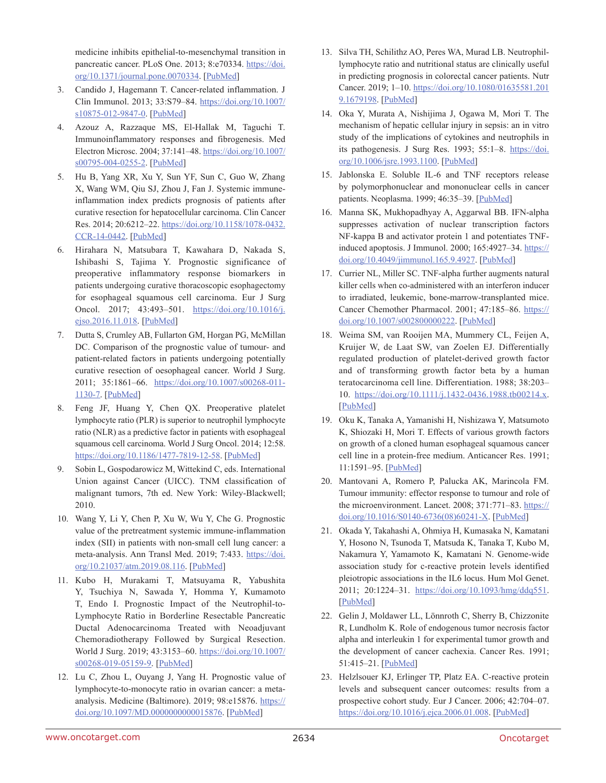medicine inhibits epithelial-to-mesenchymal transition in pancreatic cancer. PLoS One. 2013; 8:e70334. [https://doi.](https://doi.org/10.1371/journal.pone.0070334) [org/10.1371/journal.pone.0070334](https://doi.org/10.1371/journal.pone.0070334). [\[PubMed\]](https://pubmed.ncbi.nlm.nih.gov/23922983)

- 3. Candido J, Hagemann T. Cancer-related inflammation. J Clin Immunol. 2013; 33:S79–84. [https://doi.org/10.1007/](https://doi.org/10.1007/s10875-012-9847-0) [s10875-012-9847-0.](https://doi.org/10.1007/s10875-012-9847-0) [\[PubMed\]](https://pubmed.ncbi.nlm.nih.gov/23225204)
- 4. Azouz A, Razzaque MS, El-Hallak M, Taguchi T. Immunoinflammatory responses and fibrogenesis. Med Electron Microsc. 2004; 37:141–48. [https://doi.org/10.1007/](https://doi.org/10.1007/s00795-004-0255-2) [s00795-004-0255-2.](https://doi.org/10.1007/s00795-004-0255-2) [\[PubMed\]](https://pubmed.ncbi.nlm.nih.gov/15449105)
- 5. Hu B, Yang XR, Xu Y, Sun YF, Sun C, Guo W, Zhang X, Wang WM, Qiu SJ, Zhou J, Fan J. Systemic immuneinflammation index predicts prognosis of patients after curative resection for hepatocellular carcinoma. Clin Cancer Res. 2014; 20:6212–22. [https://doi.org/10.1158/1078-0432.](https://doi.org/10.1158/1078-0432.CCR-14-0442) [CCR-14-0442](https://doi.org/10.1158/1078-0432.CCR-14-0442). [\[PubMed\]](https://pubmed.ncbi.nlm.nih.gov/25271081)
- 6. Hirahara N, Matsubara T, Kawahara D, Nakada S, Ishibashi S, Tajima Y. Prognostic significance of preoperative inflammatory response biomarkers in patients undergoing curative thoracoscopic esophagectomy for esophageal squamous cell carcinoma. Eur J Surg Oncol. 2017; 43:493–501. [https://doi.org/10.1016/j.](https://doi.org/10.1016/j.ejso.2016.11.018) [ejso.2016.11.018.](https://doi.org/10.1016/j.ejso.2016.11.018) [\[PubMed\]](https://pubmed.ncbi.nlm.nih.gov/28034501)
- 7. Dutta S, Crumley AB, Fullarton GM, Horgan PG, McMillan DC. Comparison of the prognostic value of tumour- and patient-related factors in patients undergoing potentially curative resection of oesophageal cancer. World J Surg. 2011; 35:1861–66. [https://doi.org/10.1007/s00268-011-](https://doi.org/10.1007/s00268-011-1130-7) [1130-7](https://doi.org/10.1007/s00268-011-1130-7). [\[PubMed\]](https://pubmed.ncbi.nlm.nih.gov/21538187)
- 8. Feng JF, Huang Y, Chen QX. Preoperative platelet lymphocyte ratio (PLR) is superior to neutrophil lymphocyte ratio (NLR) as a predictive factor in patients with esophageal squamous cell carcinoma. World J Surg Oncol. 2014; 12:58. <https://doi.org/10.1186/1477-7819-12-58>. [\[PubMed\]](https://pubmed.ncbi.nlm.nih.gov/24641770)
- 9. Sobin L, Gospodarowicz M, Wittekind C, eds. International Union against Cancer (UICC). TNM classification of malignant tumors, 7th ed. New York: Wiley-Blackwell; 2010.
- 10. Wang Y, Li Y, Chen P, Xu W, Wu Y, Che G. Prognostic value of the pretreatment systemic immune-inflammation index (SII) in patients with non-small cell lung cancer: a meta-analysis. Ann Transl Med. 2019; 7:433. [https://doi.](https://doi.org/10.21037/atm.2019.08.116) [org/10.21037/atm.2019.08.116.](https://doi.org/10.21037/atm.2019.08.116) [\[PubMed\]](https://pubmed.ncbi.nlm.nih.gov/31700869)
- 11. Kubo H, Murakami T, Matsuyama R, Yabushita Y, Tsuchiya N, Sawada Y, Homma Y, Kumamoto T, Endo I. Prognostic Impact of the Neutrophil-to-Lymphocyte Ratio in Borderline Resectable Pancreatic Ductal Adenocarcinoma Treated with Neoadjuvant Chemoradiotherapy Followed by Surgical Resection. World J Surg. 2019; 43:3153–60. [https://doi.org/10.1007/](https://doi.org/10.1007/s00268-019-05159-9) [s00268-019-05159-9.](https://doi.org/10.1007/s00268-019-05159-9) [\[PubMed\]](https://pubmed.ncbi.nlm.nih.gov/31549202)
- 12. Lu C, Zhou L, Ouyang J, Yang H. Prognostic value of lymphocyte-to-monocyte ratio in ovarian cancer: a metaanalysis. Medicine (Baltimore). 2019; 98:e15876. [https://](https://doi.org/10.1097/MD.0000000000015876) [doi.org/10.1097/MD.0000000000015876.](https://doi.org/10.1097/MD.0000000000015876) [\[PubMed\]](https://pubmed.ncbi.nlm.nih.gov/31192919)
- 13. Silva TH, Schilithz AO, Peres WA, Murad LB. Neutrophillymphocyte ratio and nutritional status are clinically useful in predicting prognosis in colorectal cancer patients. Nutr Cancer. 2019; 1–10. [https://doi.org/10.1080/01635581.201](https://doi.org/10.1080/01635581.2019.1679198) [9.1679198.](https://doi.org/10.1080/01635581.2019.1679198) [\[PubMed\]](https://pubmed.ncbi.nlm.nih.gov/31665931)
- 14. Oka Y, Murata A, Nishijima J, Ogawa M, Mori T. The mechanism of hepatic cellular injury in sepsis: an in vitro study of the implications of cytokines and neutrophils in its pathogenesis. J Surg Res. 1993; 55:1–8. [https://doi.](https://doi.org/10.1006/jsre.1993.1100) [org/10.1006/jsre.1993.1100.](https://doi.org/10.1006/jsre.1993.1100) [\[PubMed\]](https://pubmed.ncbi.nlm.nih.gov/7692133)
- 15. Jablonska E. Soluble IL-6 and TNF receptors release by polymorphonuclear and mononuclear cells in cancer patients. Neoplasma. 1999; 46:35–39. [\[PubMed\]](https://pubmed.ncbi.nlm.nih.gov/10355532)
- 16. Manna SK, Mukhopadhyay A, Aggarwal BB. IFN-alpha suppresses activation of nuclear transcription factors NF-kappa B and activator protein 1 and potentiates TNFinduced apoptosis. J Immunol. 2000; 165:4927–34. [https://](https://doi.org/10.4049/jimmunol.165.9.4927) [doi.org/10.4049/jimmunol.165.9.4927](https://doi.org/10.4049/jimmunol.165.9.4927). [\[PubMed\]](https://pubmed.ncbi.nlm.nih.gov/11046018)
- 17. Currier NL, Miller SC. TNF-alpha further augments natural killer cells when co-administered with an interferon inducer to irradiated, leukemic, bone-marrow-transplanted mice. Cancer Chemother Pharmacol. 2001; 47:185–86. [https://](https://doi.org/10.1007/s002800000222) [doi.org/10.1007/s002800000222.](https://doi.org/10.1007/s002800000222) [\[PubMed\]](https://pubmed.ncbi.nlm.nih.gov/11269746)
- 18. Weima SM, van Rooijen MA, Mummery CL, Feijen A, Kruijer W, de Laat SW, van Zoelen EJ. Differentially regulated production of platelet-derived growth factor and of transforming growth factor beta by a human teratocarcinoma cell line. Differentiation. 1988; 38:203– 10. [https://doi.org/10.1111/j.1432-0436.1988.tb00214.x.](https://doi.org/10.1111/j.1432-0436.1988.tb00214.x) [\[PubMed\]](https://pubmed.ncbi.nlm.nih.gov/3215396)
- 19. Oku K, Tanaka A, Yamanishi H, Nishizawa Y, Matsumoto K, Shiozaki H, Mori T. Effects of various growth factors on growth of a cloned human esophageal squamous cancer cell line in a protein-free medium. Anticancer Res. 1991; 11:1591–95. [\[PubMed\]](https://pubmed.ncbi.nlm.nih.gov/1746916)
- 20. Mantovani A, Romero P, Palucka AK, Marincola FM. Tumour immunity: effector response to tumour and role of the microenvironment. Lancet. 2008; 371:771-83. [https://](https://doi.org/10.1016/S0140-6736(08)60241-X) [doi.org/10.1016/S0140-6736\(08\)60241-X](https://doi.org/10.1016/S0140-6736(08)60241-X). [\[PubMed\]](https://pubmed.ncbi.nlm.nih.gov/18275997)
- 21. Okada Y, Takahashi A, Ohmiya H, Kumasaka N, Kamatani Y, Hosono N, Tsunoda T, Matsuda K, Tanaka T, Kubo M, Nakamura Y, Yamamoto K, Kamatani N. Genome-wide association study for c-reactive protein levels identified pleiotropic associations in the IL6 locus. Hum Mol Genet. 2011; 20:1224-31. [https://doi.org/10.1093/hmg/ddq551.](https://doi.org/10.1093/hmg/ddq551) [\[PubMed\]](https://pubmed.ncbi.nlm.nih.gov/21196492)
- 22. Gelin J, Moldawer LL, Lönnroth C, Sherry B, Chizzonite R, Lundholm K. Role of endogenous tumor necrosis factor alpha and interleukin 1 for experimental tumor growth and the development of cancer cachexia. Cancer Res. 1991; 51:415–21. [\[PubMed\]](https://pubmed.ncbi.nlm.nih.gov/1703040)
- 23. Helzlsouer KJ, Erlinger TP, Platz EA. C-reactive protein levels and subsequent cancer outcomes: results from a prospective cohort study. Eur J Cancer. 2006; 42:704–07. [https://doi.org/10.1016/j.ejca.2006.01.008.](https://doi.org/10.1016/j.ejca.2006.01.008) [\[PubMed\]](https://pubmed.ncbi.nlm.nih.gov/16513341)